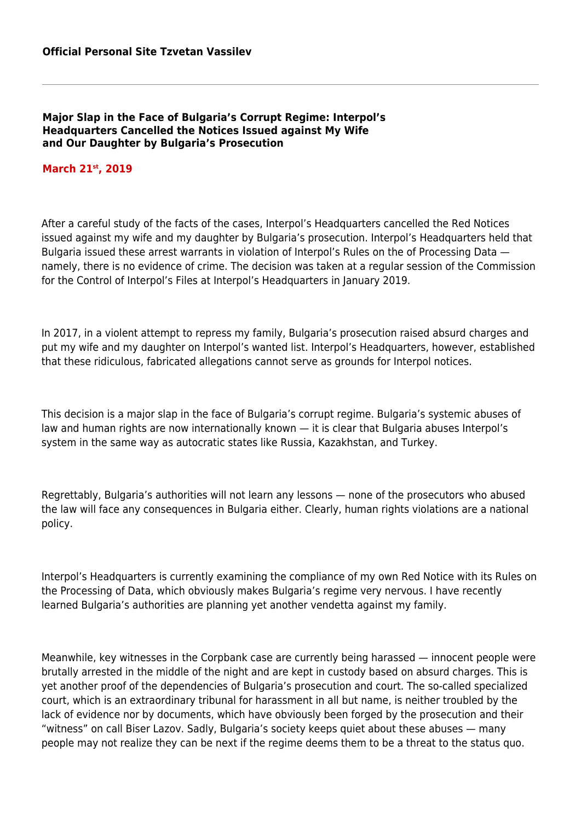## **Major Slap in the Face of Bulgaria's Corrupt Regime: Interpol's Headquarters Cancelled the Notices Issued against My Wife and Our Daughter by Bulgaria's Prosecution**

## **March 21st, 2019**

After a careful study of the facts of the cases, Interpol's Headquarters cancelled the Red Notices issued against my wife and my daughter by Bulgaria's prosecution. Interpol's Headquarters held that Bulgaria issued these arrest warrants in violation of Interpol's Rules on the of Processing Data namely, there is no evidence of crime. The decision was taken at a regular session of the Commission for the Control of Interpol's Files at Interpol's Headquarters in January 2019.

In 2017, in a violent attempt to repress my family, Bulgaria's prosecution raised absurd charges and put my wife and my daughter on Interpol's wanted list. Interpol's Headquarters, however, established that these ridiculous, fabricated allegations cannot serve as grounds for Interpol notices.

This decision is a major slap in the face of Bulgaria's corrupt regime. Bulgaria's systemic abuses of law and human rights are now internationally known — it is clear that Bulgaria abuses Interpol's system in the same way as autocratic states like Russia, Kazakhstan, and Turkey.

Regrettably, Bulgaria's authorities will not learn any lessons — none of the prosecutors who abused the law will face any consequences in Bulgaria either. Clearly, human rights violations are a national policy.

Interpol's Headquarters is currently examining the compliance of my own Red Notice with its Rules on the Processing of Data, which obviously makes Bulgaria's regime very nervous. I have recently learned Bulgaria's authorities are planning yet another vendetta against my family.

Meanwhile, key witnesses in the Corpbank case are currently being harassed — innocent people were brutally arrested in the middle of the night and are kept in custody based on absurd charges. This is yet another proof of the dependencies of Bulgaria's prosecution and court. The so-called specialized court, which is an extraordinary tribunal for harassment in all but name, is neither troubled by the lack of evidence nor by documents, which have obviously been forged by the prosecution and their "witness" on call Biser Lazov. Sadly, Bulgaria's society keeps quiet about these abuses — many people may not realize they can be next if the regime deems them to be a threat to the status quo.